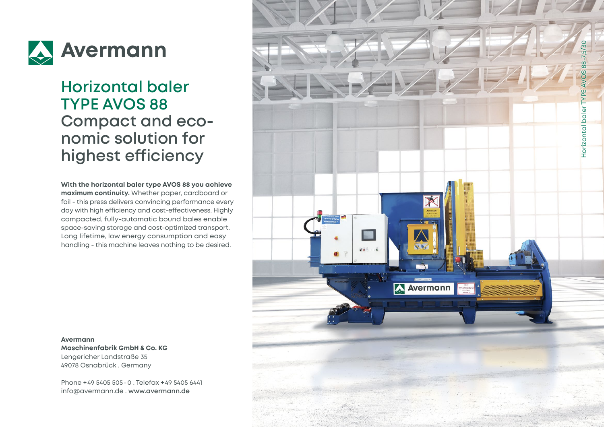

## **Horizontal baler TYPE AVOS 88 Compact and eco nomic solution for highest efficiency**

**With the horizontal baler type AVOS 88 you achieve maximum continuity.** Whether paper, cardboard or foil - this press delivers convincing performance every day with high efficiency and cost-effectiveness. Highly compacted, fully-automatic bound bales enable space-saving storage and cost-optimized transport. Long lifetime, low energy consumption and easy handling - this machine leaves nothing to be desired.

**Avermann Maschinenfabrik GmbH & Co. KG** Lengericher Landstraße 35 49078 Osnabrück . Germany

Phone +49 5405 505 -0 . Telefax +49 5405 6441 info@avermann.de . **www.avermann.de**